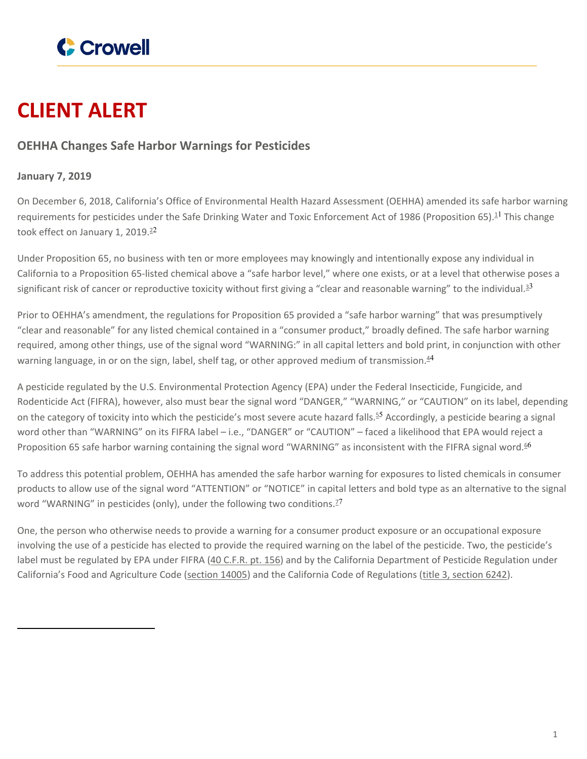

## **CLIENT ALERT**

## **OEHHA Changes Safe Harbor Warnings for Pesticides**

## **January 7, 2019**

On December 6, 2018, California's Office of Environmental Health Hazard Assessment (OEHHA) amended its safe harbor warning requirements for pesticides under the Safe Drinking Water and Toxic Enforcement Act of 1986 (Proposition 65).<sup>11</sup> This change took effect on January 1, 2019. $2^2$ 

Under Proposition 65, no business with ten or more employees may knowingly and intentionally expose any individual in California to a Proposition 65-listed chemical above a "safe harbor level," where one exists, or at a level that otherwise poses a significant risk of cancer or reproductive toxicity without first giving a "clear and reasonable warning" to the individual.<sup>33</sup>

Prior to OEHHA's amendment, the regulations for Proposition 65 provided a "safe harbor warning" that was presumptively "clear and reasonable" for any listed chemical contained in a "consumer product," broadly defined. The safe harbor warning required, among other things, use of the signal word "WARNING:" in all capital letters and bold print, in conjunction with other warning language, in or on the sign, label, shelf tag, or other approved medium of transmission. $4^4$ 

A pesticide regulated by the U.S. Environmental Protection Agency (EPA) under the Federal Insecticide, Fungicide, and Rodenticide Act (FIFRA), however, also must bear the signal word "DANGER," "WARNING," or "CAUTION" on its label, depending on the category of toxicity into which the pesticide's most severe acute hazard falls.<sup>55</sup> Accordingly, a pesticide bearing a signal word other than "WARNING" on its FIFRA label – i.e., "DANGER" or "CAUTION" – faced a likelihood that EPA would reject a Proposition 65 safe harbor warning containing the signal word "WARNING" as inconsistent with the FIFRA signal word.<sup>66</sup>

To address this potential problem, OEHHA has amended the safe harbor warning for exposures to listed chemicals in consumer products to allow use of the signal word "ATTENTION" or "NOTICE" in capital letters and bold type as an alternative to the signal word "WARNING" in pesticides (only), under the following two conditions.<sup>27</sup>

One, the person who otherwise needs to provide a warning for a consumer product exposure or an occupational exposure involving the use of a pesticide has elected to provide the required warning on the label of the pesticide. Two, the pesticide's label must be regulated by EPA under FIFRA (40 [C.F.R.](https://www.ecfr.gov/cgi-bin/text-idx?SID=e0a97e78e80a4a7152168140f94e0a05&mc=true&node=pt40.26.156&rgn=div5) pt. [156](https://www.ecfr.gov/cgi-bin/text-idx?SID=e0a97e78e80a4a7152168140f94e0a05&mc=true&node=pt40.26.156&rgn=div5)) and by the California Department of Pesticide Regulation under California's Food and Agriculture Code [\(section](https://leginfo.legislature.ca.gov/faces/codes_displaySection.xhtml?lawCode=FAC§ionNum=14005.) 14005) and the California Code of Regulations (title 3, [section](https://govt.westlaw.com/calregs/Document/I5E96F470D45A11DEB97CF67CD0B99467?viewType=FullText&originationContext=documenttoc&transitionType=CategoryPageItem&contextData=(sc.Default)) 6242).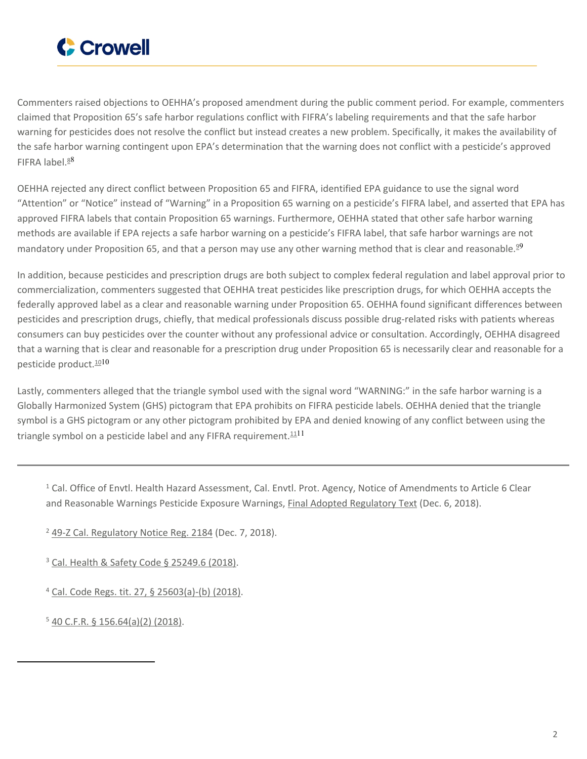

Commenters raised objections to OEHHA's proposed amendment during the public comment period. For example, commenters claimed that Proposition 65's safe harbor regulations conflict with FIFRA's labeling requirements and that the safe harbor warning for pesticides does not resolve the conflict but instead creates a new problem. Specifically, it makes the availability of the safe harbor warning contingent upon EPA's determination that the warning does not conflict with a pesticide's approved FIFRA label. $88$ 

OEHHA rejected any direct conflict between Proposition 65 and FIFRA, identified EPA guidance to use the signal word "Attention" or "Notice" instead of "Warning" in a Proposition 65 warning on a pesticide's FIFRA label, and asserted that EPA has approved FIFRA labels that contain Proposition 65 warnings. Furthermore, OEHHA stated that other safe harbor warning methods are available if EPA rejects a safe harbor warning on a pesticide's FIFRA label, that safe harbor warnings are not mandatory under Proposition 65, and that a person may use any other warning method that is clear and reasonable.<sup>99</sup>

In addition, because pesticides and prescription drugs are both subject to complex federal regulation and label approval prior to commercialization, commenters suggested that OEHHA treat pesticides like prescription drugs, for which OEHHA accepts the federally approved label as a clear and reasonable warning under Proposition 65. OEHHA found significant differences between pesticides and prescription drugs, chiefly, that medical professionals discuss possible drug-related risks with patients whereas consumers can buy pesticides over the counter without any professional advice or consultation. Accordingly, OEHHA disagreed that a warning that is clear and reasonable for a prescription drug under Proposition 65 is necessarily clear and reasonable for a pesticide product.<sup>1010</sup>

Lastly, commenters alleged that the triangle symbol used with the signal word "WARNING:" in the safe harbor warning is a Globally Harmonized System (GHS) pictogram that EPA prohibits on FIFRA pesticide labels. OEHHA denied that the triangle symbol is a GHS pictogram or any other pictogram prohibited by EPA and denied knowing of any conflict between using the triangle symbol on a pesticide label and any FIFRA requirement. $1111$ 

<sup>1</sup> Cal. Office of Envtl. Health Hazard Assessment, Cal. Envtl. Prot. Agency, Notice of Amendments to Article 6 Clear and Reasonable Warnings Pesticide Exposure Warnings, Final Adopted [Regulatory](https://oehha.ca.gov/media/downloads/crnr/finalregtext112618.pdf) Text (Dec. 6, 2018).

<sup>2</sup> 49-Z Cal. [Regulatory](https://oal.ca.gov/wp-content/uploads/sites/166/2018/12/49z-2018.pdf) Notice Reg. 2184 (Dec. 7, 2018).

<sup>3</sup> Cal. Health & Safety Code § [25249.6](http://leginfo.legislature.ca.gov/faces/codes_displayText.xhtml?lawCode=HSC&division=20.&title=&part=&chapter=6.6.&article=) (2018).

<sup>4</sup> Cal. Code Regs. tit. 27, § [25603\(a\)-\(b\)](https://govt.westlaw.com/calregs/Document/I18AE85B9BCA148788DB150CC1DEEB7D3?viewType=FullText&originationContext=documenttoc&transitionType=CategoryPageItem&contextData=(sc.Default)) (2018).

 $540$  C.F.R. § [156.64\(a\)\(2\)](https://www.ecfr.gov/cgi-bin/text-idx?SID=da281bd1f1cbc747231b28e97f34d337&mc=true&node=se40.26.156_164&rgn=div8) (2018).